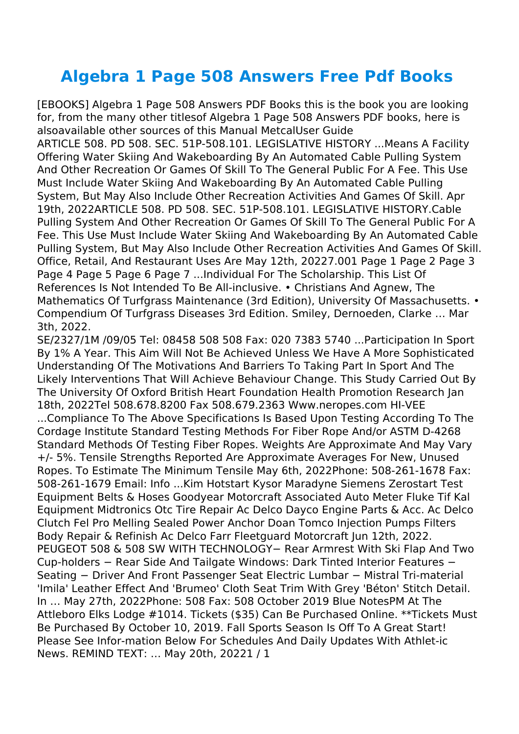## **Algebra 1 Page 508 Answers Free Pdf Books**

[EBOOKS] Algebra 1 Page 508 Answers PDF Books this is the book you are looking for, from the many other titlesof Algebra 1 Page 508 Answers PDF books, here is alsoavailable other sources of this Manual MetcalUser Guide

ARTICLE 508. PD 508. SEC. 51P-508.101. LEGISLATIVE HISTORY ...Means A Facility Offering Water Skiing And Wakeboarding By An Automated Cable Pulling System And Other Recreation Or Games Of Skill To The General Public For A Fee. This Use Must Include Water Skiing And Wakeboarding By An Automated Cable Pulling System, But May Also Include Other Recreation Activities And Games Of Skill. Apr 19th, 2022ARTICLE 508. PD 508. SEC. 51P-508.101. LEGISLATIVE HISTORY.Cable Pulling System And Other Recreation Or Games Of Skill To The General Public For A Fee. This Use Must Include Water Skiing And Wakeboarding By An Automated Cable Pulling System, But May Also Include Other Recreation Activities And Games Of Skill. Office, Retail, And Restaurant Uses Are May 12th, 20227.001 Page 1 Page 2 Page 3 Page 4 Page 5 Page 6 Page 7 ...Individual For The Scholarship. This List Of References Is Not Intended To Be All-inclusive. • Christians And Agnew, The Mathematics Of Turfgrass Maintenance (3rd Edition), University Of Massachusetts. • Compendium Of Turfgrass Diseases 3rd Edition. Smiley, Dernoeden, Clarke … Mar 3th, 2022.

SE/2327/1M /09/05 Tel: 08458 508 508 Fax: 020 7383 5740 ...Participation In Sport By 1% A Year. This Aim Will Not Be Achieved Unless We Have A More Sophisticated Understanding Of The Motivations And Barriers To Taking Part In Sport And The Likely Interventions That Will Achieve Behaviour Change. This Study Carried Out By The University Of Oxford British Heart Foundation Health Promotion Research Jan 18th, 2022Tel 508.678.8200 Fax 508.679.2363 Www.neropes.com HI-VEE

...Compliance To The Above Specifications Is Based Upon Testing According To The Cordage Institute Standard Testing Methods For Fiber Rope And/or ASTM D-4268 Standard Methods Of Testing Fiber Ropes. Weights Are Approximate And May Vary +/- 5%. Tensile Strengths Reported Are Approximate Averages For New, Unused Ropes. To Estimate The Minimum Tensile May 6th, 2022Phone: 508-261-1678 Fax: 508-261-1679 Email: Info ...Kim Hotstart Kysor Maradyne Siemens Zerostart Test Equipment Belts & Hoses Goodyear Motorcraft Associated Auto Meter Fluke Tif Kal Equipment Midtronics Otc Tire Repair Ac Delco Dayco Engine Parts & Acc. Ac Delco Clutch Fel Pro Melling Sealed Power Anchor Doan Tomco Injection Pumps Filters Body Repair & Refinish Ac Delco Farr Fleetguard Motorcraft Jun 12th, 2022. PEUGEOT 508 & 508 SW WITH TECHNOLOGY− Rear Armrest With Ski Flap And Two Cup-holders − Rear Side And Tailgate Windows: Dark Tinted Interior Features − Seating − Driver And Front Passenger Seat Electric Lumbar − Mistral Tri-material 'Imila' Leather Effect And 'Brumeo' Cloth Seat Trim With Grey 'Béton' Stitch Detail. In … May 27th, 2022Phone: 508 Fax: 508 October 2019 Blue NotesPM At The Attleboro Elks Lodge #1014. Tickets (\$35) Can Be Purchased Online. \*\*Tickets Must Be Purchased By October 10, 2019. Fall Sports Season Is Off To A Great Start! Please See Infor-mation Below For Schedules And Daily Updates With Athlet-ic News. REMIND TEXT: … May 20th, 20221 / 1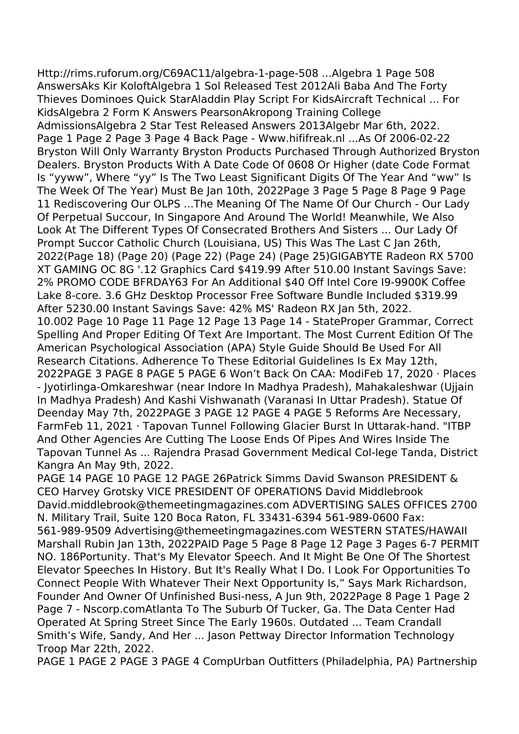Http://rims.ruforum.org/C69AC11/algebra-1-page-508 ...Algebra 1 Page 508 AnswersAks Kir KoloftAlgebra 1 Sol Released Test 2012Ali Baba And The Forty Thieves Dominoes Quick StarAladdin Play Script For KidsAircraft Technical ... For KidsAlgebra 2 Form K Answers PearsonAkropong Training College AdmissionsAlgebra 2 Star Test Released Answers 2013Algebr Mar 6th, 2022. Page 1 Page 2 Page 3 Page 4 Back Page - Www.hififreak.nl ...As Of 2006-02-22 Bryston Will Only Warranty Bryston Products Purchased Through Authorized Bryston Dealers. Bryston Products With A Date Code Of 0608 Or Higher (date Code Format Is "yyww", Where "yy" Is The Two Least Significant Digits Of The Year And "ww" Is The Week Of The Year) Must Be Jan 10th, 2022Page 3 Page 5 Page 8 Page 9 Page 11 Rediscovering Our OLPS ...The Meaning Of The Name Of Our Church - Our Lady Of Perpetual Succour, In Singapore And Around The World! Meanwhile, We Also Look At The Different Types Of Consecrated Brothers And Sisters ... Our Lady Of Prompt Succor Catholic Church (Louisiana, US) This Was The Last C Jan 26th, 2022(Page 18) (Page 20) (Page 22) (Page 24) (Page 25)GIGABYTE Radeon RX 5700 XT GAMING OC 8G '.12 Graphics Card \$419.99 After 510.00 Instant Savings Save: 2% PROMO CODE BFRDAY63 For An Additional \$40 Off Intel Core I9-9900K Coffee Lake 8-core. 3.6 GHz Desktop Processor Free Software Bundle Included \$319.99 After 5230.00 Instant Savings Save: 42% MS' Radeon RX Jan 5th, 2022. 10.002 Page 10 Page 11 Page 12 Page 13 Page 14 - StateProper Grammar, Correct Spelling And Proper Editing Of Text Are Important. The Most Current Edition Of The American Psychological Association (APA) Style Guide Should Be Used For All Research Citations. Adherence To These Editorial Guidelines Is Ex May 12th, 2022PAGE 3 PAGE 8 PAGE 5 PAGE 6 Won't Back On CAA: ModiFeb 17, 2020 · Places - Jyotirlinga-Omkareshwar (near Indore In Madhya Pradesh), Mahakaleshwar (Ujjain In Madhya Pradesh) And Kashi Vishwanath (Varanasi In Uttar Pradesh). Statue Of Deenday May 7th, 2022PAGE 3 PAGE 12 PAGE 4 PAGE 5 Reforms Are Necessary, FarmFeb 11, 2021 · Tapovan Tunnel Following Glacier Burst In Uttarak-hand. "ITBP And Other Agencies Are Cutting The Loose Ends Of Pipes And Wires Inside The Tapovan Tunnel As ... Rajendra Prasad Government Medical Col-lege Tanda, District Kangra An May 9th, 2022.

PAGE 14 PAGE 10 PAGE 12 PAGE 26Patrick Simms David Swanson PRESIDENT & CEO Harvey Grotsky VICE PRESIDENT OF OPERATIONS David Middlebrook David.middlebrook@themeetingmagazines.com ADVERTISING SALES OFFICES 2700 N. Military Trail, Suite 120 Boca Raton, FL 33431-6394 561-989-0600 Fax: 561-989-9509 Advertising@themeetingmagazines.com WESTERN STATES/HAWAII Marshall Rubin Jan 13th, 2022PAID Page 5 Page 8 Page 12 Page 3 Pages 6-7 PERMIT NO. 186Portunity. That's My Elevator Speech. And It Might Be One Of The Shortest Elevator Speeches In History. But It's Really What I Do. I Look For Opportunities To Connect People With Whatever Their Next Opportunity Is," Says Mark Richardson, Founder And Owner Of Unfinished Busi-ness, A Jun 9th, 2022Page 8 Page 1 Page 2 Page 7 - Nscorp.comAtlanta To The Suburb Of Tucker, Ga. The Data Center Had Operated At Spring Street Since The Early 1960s. Outdated ... Team Crandall Smith's Wife, Sandy, And Her ... Jason Pettway Director Information Technology Troop Mar 22th, 2022.

PAGE 1 PAGE 2 PAGE 3 PAGE 4 CompUrban Outfitters (Philadelphia, PA) Partnership